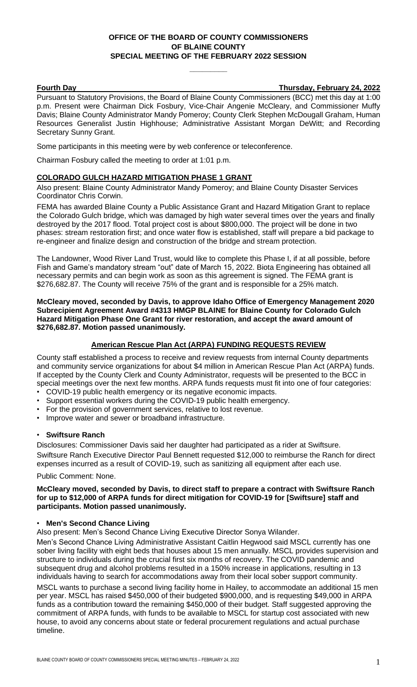# **OFFICE OF THE BOARD OF COUNTY COMMISSIONERS OF BLAINE COUNTY SPECIAL MEETING OF THE FEBRUARY 2022 SESSION**

**\_\_\_\_\_\_\_\_\_**

**Fourth Day Thursday, February 24, 2022**

Pursuant to Statutory Provisions, the Board of Blaine County Commissioners (BCC) met this day at 1:00 p.m. Present were Chairman Dick Fosbury, Vice-Chair Angenie McCleary, and Commissioner Muffy Davis; Blaine County Administrator Mandy Pomeroy; County Clerk Stephen McDougall Graham, Human Resources Generalist Justin Highhouse; Administrative Assistant Morgan DeWitt; and Recording Secretary Sunny Grant.

Some participants in this meeting were by web conference or teleconference.

Chairman Fosbury called the meeting to order at 1:01 p.m.

## **COLORADO GULCH HAZARD MITIGATION PHASE 1 GRANT**

Also present: Blaine County Administrator Mandy Pomeroy; and Blaine County Disaster Services Coordinator Chris Corwin.

FEMA has awarded Blaine County a Public Assistance Grant and Hazard Mitigation Grant to replace the Colorado Gulch bridge, which was damaged by high water several times over the years and finally destroyed by the 2017 flood. Total project cost is about \$800,000. The project will be done in two phases: stream restoration first; and once water flow is established, staff will prepare a bid package to re-engineer and finalize design and construction of the bridge and stream protection.

The Landowner, Wood River Land Trust, would like to complete this Phase I, if at all possible, before Fish and Game's mandatory stream "out" date of March 15, 2022. Biota Engineering has obtained all necessary permits and can begin work as soon as this agreement is signed. The FEMA grant is \$276,682.87. The County will receive 75% of the grant and is responsible for a 25% match.

**McCleary moved, seconded by Davis, to approve Idaho Office of Emergency Management 2020 Subrecipient Agreement Award #4313 HMGP BLAINE for Blaine County for Colorado Gulch Hazard Mitigation Phase One Grant for river restoration, and accept the award amount of \$276,682.87. Motion passed unanimously.**

# **American Rescue Plan Act (ARPA) FUNDING REQUESTS REVIEW**

County staff established a process to receive and review requests from internal County departments and community service organizations for about \$4 million in American Rescue Plan Act (ARPA) funds. If accepted by the County Clerk and County Administrator, requests will be presented to the BCC in special meetings over the next few months. ARPA funds requests must fit into one of four categories:

- COVID-19 public health emergency or its negative economic impacts.
- Support essential workers during the COVID-19 public health emergency.
- For the provision of government services, relative to lost revenue.
- Improve water and sewer or broadband infrastructure.

#### • **Swiftsure Ranch**

Disclosures: Commissioner Davis said her daughter had participated as a rider at Swiftsure. Swiftsure Ranch Executive Director Paul Bennett requested \$12,000 to reimburse the Ranch for direct expenses incurred as a result of COVID-19, such as sanitizing all equipment after each use.

Public Comment: None.

### **McCleary moved, seconded by Davis, to direct staff to prepare a contract with Swiftsure Ranch for up to \$12,000 of ARPA funds for direct mitigation for COVID-19 for [Swiftsure] staff and participants. Motion passed unanimously.**

#### • **Men's Second Chance Living**

Also present: Men's Second Chance Living Executive Director Sonya Wilander.

Men's Second Chance Living Administrative Assistant Caitlin Hegwood said MSCL currently has one sober living facility with eight beds that houses about 15 men annually. MSCL provides supervision and structure to individuals during the crucial first six months of recovery. The COVID pandemic and subsequent drug and alcohol problems resulted in a 150% increase in applications, resulting in 13 individuals having to search for accommodations away from their local sober support community.

MSCL wants to purchase a second living facility home in Hailey, to accommodate an additional 15 men per year. MSCL has raised \$450,000 of their budgeted \$900,000, and is requesting \$49,000 in ARPA funds as a contribution toward the remaining \$450,000 of their budget. Staff suggested approving the commitment of ARPA funds, with funds to be available to MSCL for startup cost associated with new house, to avoid any concerns about state or federal procurement regulations and actual purchase timeline.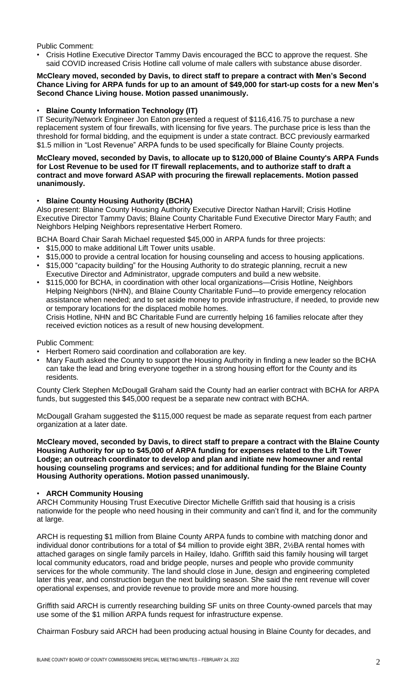Public Comment:

• Crisis Hotline Executive Director Tammy Davis encouraged the BCC to approve the request. She said COVID increased Crisis Hotline call volume of male callers with substance abuse disorder.

#### **McCleary moved, seconded by Davis, to direct staff to prepare a contract with Men's Second Chance Living for ARPA funds for up to an amount of \$49,000 for start-up costs for a new Men's Second Chance Living house. Motion passed unanimously.**

# • **Blaine County Information Technology (IT)**

IT Security/Network Engineer Jon Eaton presented a request of \$116,416.75 to purchase a new replacement system of four firewalls, with licensing for five years. The purchase price is less than the threshold for formal bidding, and the equipment is under a state contract. BCC previously earmarked \$1.5 million in "Lost Revenue" ARPA funds to be used specifically for Blaine County projects.

### **McCleary moved, seconded by Davis, to allocate up to \$120,000 of Blaine County's ARPA Funds for Lost Revenue to be used for IT firewall replacements, and to authorize staff to draft a contract and move forward ASAP with procuring the firewall replacements. Motion passed unanimously.**

# • **Blaine County Housing Authority (BCHA)**

Also present: Blaine County Housing Authority Executive Director Nathan Harvill; Crisis Hotline Executive Director Tammy Davis; Blaine County Charitable Fund Executive Director Mary Fauth; and Neighbors Helping Neighbors representative Herbert Romero.

BCHA Board Chair Sarah Michael requested \$45,000 in ARPA funds for three projects:

- \$15,000 to make additional Lift Tower units usable.
- \$15,000 to provide a central location for housing counseling and access to housing applications.
- \$15,000 "capacity building" for the Housing Authority to do strategic planning, recruit a new Executive Director and Administrator, upgrade computers and build a new website.
- \$115,000 for BCHA, in coordination with other local organizations—Crisis Hotline, Neighbors Helping Neighbors (NHN), and Blaine County Charitable Fund—to provide emergency relocation assistance when needed; and to set aside money to provide infrastructure, if needed, to provide new or temporary locations for the displaced mobile homes. Crisis Hotline, NHN and BC Charitable Fund are currently helping 16 families relocate after they received eviction notices as a result of new housing development.

Public Comment:

- Herbert Romero said coordination and collaboration are key.
- Mary Fauth asked the County to support the Housing Authority in finding a new leader so the BCHA can take the lead and bring everyone together in a strong housing effort for the County and its residents.

County Clerk Stephen McDougall Graham said the County had an earlier contract with BCHA for ARPA funds, but suggested this \$45,000 request be a separate new contract with BCHA.

McDougall Graham suggested the \$115,000 request be made as separate request from each partner organization at a later date.

**McCleary moved, seconded by Davis, to direct staff to prepare a contract with the Blaine County Housing Authority for up to \$45,000 of ARPA funding for expenses related to the Lift Tower Lodge; an outreach coordinator to develop and plan and initiate new homeowner and rental housing counseling programs and services; and for additional funding for the Blaine County Housing Authority operations. Motion passed unanimously.**

# • **ARCH Community Housing**

ARCH Community Housing Trust Executive Director Michelle Griffith said that housing is a crisis nationwide for the people who need housing in their community and can't find it, and for the community at large.

ARCH is requesting \$1 million from Blaine County ARPA funds to combine with matching donor and individual donor contributions for a total of \$4 million to provide eight 3BR, 2½BA rental homes with attached garages on single family parcels in Hailey, Idaho. Griffith said this family housing will target local community educators, road and bridge people, nurses and people who provide community services for the whole community. The land should close in June, design and engineering completed later this year, and construction begun the next building season. She said the rent revenue will cover operational expenses, and provide revenue to provide more and more housing.

Griffith said ARCH is currently researching building SF units on three County-owned parcels that may use some of the \$1 million ARPA funds request for infrastructure expense.

Chairman Fosbury said ARCH had been producing actual housing in Blaine County for decades, and